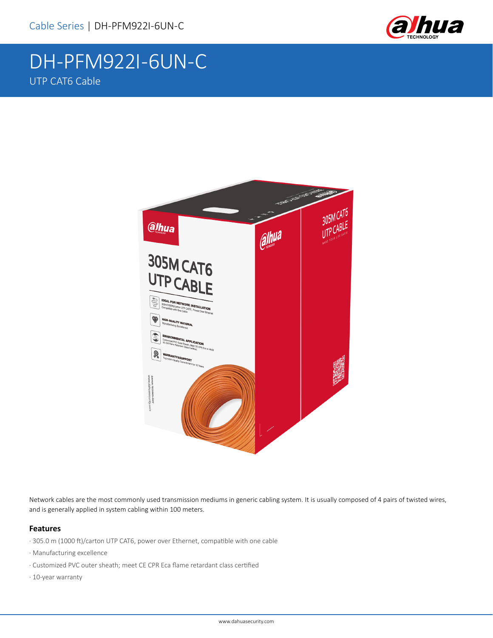

# DH-PFM922I-6UN-C UTP CAT6 Cable



Network cables are the most commonly used transmission mediums in generic cabling system. It is usually composed of 4 pairs of twisted wires, and is generally applied in system cabling within 100 meters.

### **Features**

- · 305.0 m (1000 ft)/carton UTP CAT6, power over Ethernet, compatible with one cable
- · Manufacturing excellence
- · Customized PVC outer sheath; meet CE CPR Eca flame retardant class certified
- · 10-year warranty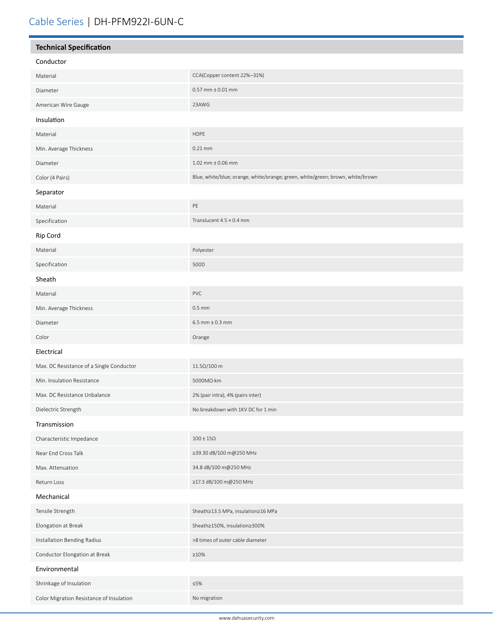| <b>Technical Specification</b>           |                                                                                |  |
|------------------------------------------|--------------------------------------------------------------------------------|--|
| Conductor                                |                                                                                |  |
| Material                                 | CCA(Copper content 22%-31%)                                                    |  |
| Diameter                                 | $0.57$ mm $\pm 0.01$ mm                                                        |  |
| American Wire Gauge                      | 23AWG                                                                          |  |
| Insulation                               |                                                                                |  |
| Material                                 | <b>HDPE</b>                                                                    |  |
| Min. Average Thickness                   | $0.21$ mm                                                                      |  |
| Diameter                                 | $1.02$ mm $\pm$ 0.06 mm                                                        |  |
| Color (4 Pairs)                          | Blue, white/blue; orange, white/orange; green, white/green; brown, white/brown |  |
| Separator                                |                                                                                |  |
| Material                                 | PE                                                                             |  |
| Specification                            | Translucent $4.5 \times 0.4$ mm                                                |  |
| Rip Cord                                 |                                                                                |  |
| Material                                 | Polyester                                                                      |  |
| Specification                            | 500D                                                                           |  |
| Sheath                                   |                                                                                |  |
| Material                                 | PVC                                                                            |  |
| Min. Average Thickness                   | $0.5$ mm                                                                       |  |
| Diameter                                 | $6.5$ mm $\pm$ 0.3 mm                                                          |  |
| Color                                    | Orange                                                                         |  |
| Electrical                               |                                                                                |  |
| Max. DC Resistance of a Single Conductor | $11.5\Omega/100$ m                                                             |  |
| Min. Insulation Resistance               | 5000MΩ·km                                                                      |  |
| Max. DC Resistance Unbalance             | 2% (pair intra), 4% (pairs inter)                                              |  |
| Dielectric Strength                      | No breakdown with 1KV DC for 1 min                                             |  |
| Transmission                             |                                                                                |  |
| Characteristic Impedance                 | $100\pm15\Omega$                                                               |  |
| Near End Cross Talk                      | ≥39.30 dB/100 m@250 MHz                                                        |  |
| Max. Attenuation                         | 34.8 dB/100 m@250 MHz                                                          |  |
| Return Loss                              | ≥17.3 dB/100 m@250 MHz                                                         |  |
| Mechanical                               |                                                                                |  |
| Tensile Strength                         | Sheath≥13.5 MPa, insulation≥16 MPa                                             |  |
| Elongation at Break                      | Sheath≥150%, insulation≥300%                                                   |  |
| Installation Bending Radius              | >8 times of outer cable diameter                                               |  |
| Conductor Elongation at Break            | $\geq 10\%$                                                                    |  |
| Environmental                            |                                                                                |  |
| Shrinkage of Insulation                  | ≤5%                                                                            |  |
| Color Migration Resistance of Insulation | No migration                                                                   |  |